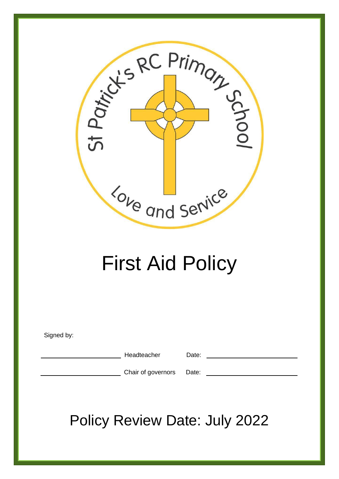

# First Aid Policy

Signed by:

Headteacher Date:

Chair of governors Date:

Policy Review Date: July 2022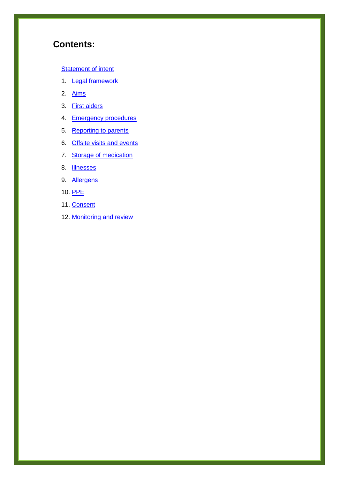# **Contents:**

#### **Statement of intent**

- 1. **Legal framework**
- 2. Aims
- 3. First aiders
- 4. Emergency procedures
- 5. Reporting to parents
- 6. Offsite visits and events
- 7. Storage of medication
- 8. Illnesses
- 9. Allergens
- 10. PPE
- 11. Consent
- 12. Monitoring and review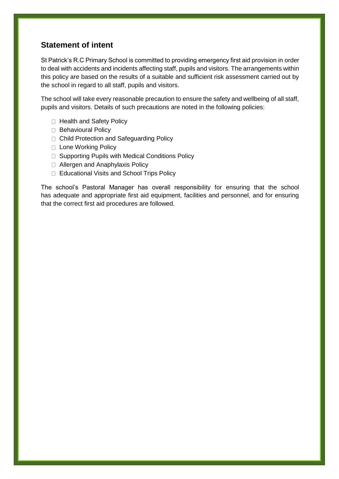## **Statement of intent**

St Patrick's R.C Primary School is committed to providing emergency first aid provision in order to deal with accidents and incidents affecting staff, pupils and visitors. The arrangements within this policy are based on the results of a suitable and sufficient risk assessment carried out by the school in regard to all staff, pupils and visitors.

The school will take every reasonable precaution to ensure the safety and wellbeing of all staff, pupils and visitors. Details of such precautions are noted in the following policies:

- □ Health and Safety Policy
- Behavioural Policy
- □ Child Protection and Safeguarding Policy
- □ Lone Working Policy
- □ Supporting Pupils with Medical Conditions Policy
- □ Allergen and Anaphylaxis Policy
- □ Educational Visits and School Trips Policy

The school's Pastoral Manager has overall responsibility for ensuring that the school has adequate and appropriate first aid equipment, facilities and personnel, and for ensuring that the correct first aid procedures are followed.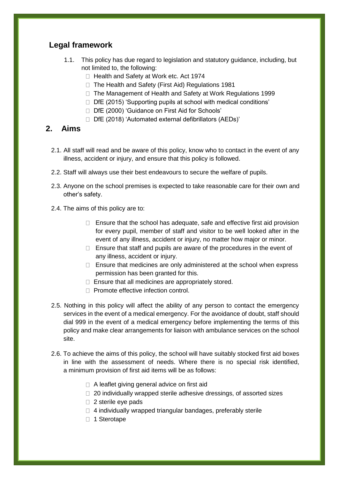# **Legal framework**

- 1.1. This policy has due regard to legislation and statutory guidance, including, but not limited to, the following:
	- □ Health and Safety at Work etc. Act 1974
	- □ The Health and Safety (First Aid) Regulations 1981
	- □ The Management of Health and Safety at Work Regulations 1999
	- $\Box$  DfE (2015) 'Supporting pupils at school with medical conditions'
	- □ DfE (2000) 'Guidance on First Aid for Schools'
	- $\Box$  DfE (2018) 'Automated external defibrillators (AEDs)'

### **2. Aims**

- 2.1. All staff will read and be aware of this policy, know who to contact in the event of any illness, accident or injury, and ensure that this policy is followed.
- 2.2. Staff will always use their best endeavours to secure the welfare of pupils.
- 2.3. Anyone on the school premises is expected to take reasonable care for their own and other's safety.
- 2.4. The aims of this policy are to:
	- $\Box$  Ensure that the school has adequate, safe and effective first aid provision for every pupil, member of staff and visitor to be well looked after in the event of any illness, accident or injury, no matter how major or minor.
	- $\Box$  Ensure that staff and pupils are aware of the procedures in the event of any illness, accident or injury.
	- $\Box$  Ensure that medicines are only administered at the school when express permission has been granted for this.
	- $\Box$  Ensure that all medicines are appropriately stored.
	- □ Promote effective infection control.
- 2.5. Nothing in this policy will affect the ability of any person to contact the emergency services in the event of a medical emergency. For the avoidance of doubt, staff should dial 999 in the event of a medical emergency before implementing the terms of this policy and make clear arrangements for liaison with ambulance services on the school site.
- 2.6. To achieve the aims of this policy, the school will have suitably stocked first aid boxes in line with the assessment of needs. Where there is no special risk identified, a minimum provision of first aid items will be as follows:
	- $\Box$  A leaflet giving general advice on first aid
	- □ 20 individually wrapped sterile adhesive dressings, of assorted sizes
	- $\Box$  2 sterile eye pads
	- $\Box$  4 individually wrapped triangular bandages, preferably sterile
	- □ 1 Sterotape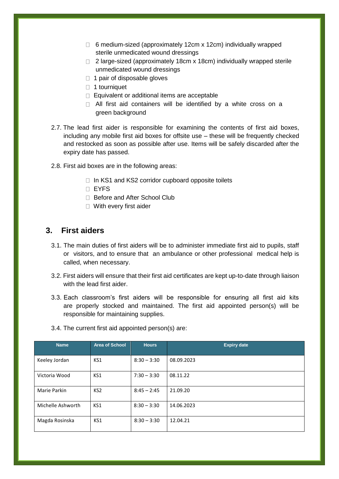- $\Box$  6 medium-sized (approximately 12cm x 12cm) individually wrapped sterile unmedicated wound dressings
- $\Box$  2 large-sized (approximately 18cm x 18cm) individually wrapped sterile unmedicated wound dressings
- $\Box$  1 pair of disposable gloves
- □ 1 tourniquet
- $\Box$  Equivalent or additional items are acceptable
- □ All first aid containers will be identified by a white cross on a green background
- 2.7. The lead first aider is responsible for examining the contents of first aid boxes, including any mobile first aid boxes for offsite use – these will be frequently checked and restocked as soon as possible after use. Items will be safely discarded after the expiry date has passed.
- 2.8. First aid boxes are in the following areas:
	- $\Box$  In KS1 and KS2 corridor cupboard opposite toilets
	- EYFS
	- □ Before and After School Club
	- □ With every first aider

#### **3. First aiders**

- 3.1. The main duties of first aiders will be to administer immediate first aid to pupils, staff or visitors, and to ensure that an ambulance or other professional medical help is called, when necessary.
- 3.2. First aiders will ensure that their first aid certificates are kept up-to-date through liaison with the lead first aider.
- 3.3. Each classroom's first aiders will be responsible for ensuring all first aid kits are properly stocked and maintained. The first aid appointed person(s) will be responsible for maintaining supplies.

| <b>Name</b>       | <b>Area of School</b> | <b>Hours</b>  | <b>Expiry date</b> |
|-------------------|-----------------------|---------------|--------------------|
| Keeley Jordan     | KS1                   | $8:30 - 3:30$ | 08.09.2023         |
| Victoria Wood     | KS1                   | $7:30 - 3:30$ | 08.11.22           |
| Marie Parkin      | KS <sub>2</sub>       | $8:45 - 2:45$ | 21.09.20           |
| Michelle Ashworth | KS1                   | $8:30 - 3:30$ | 14.06.2023         |
| Magda Rosinska    | KS1                   | $8:30 - 3:30$ | 12.04.21           |

3.4. The current first aid appointed person(s) are: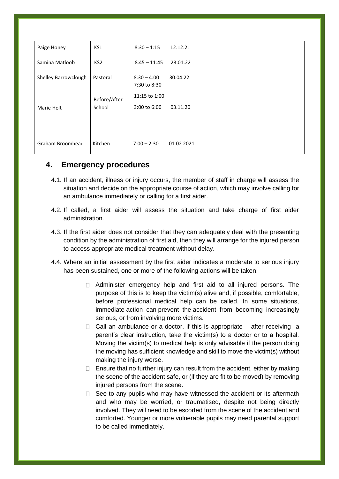| Paige Honey          | KS1                    | $8:30 - 1:15$                 | 12.12.21   |
|----------------------|------------------------|-------------------------------|------------|
| Samina Matloob       | KS <sub>2</sub>        | $8:45 - 11:45$                | 23.01.22   |
| Shelley Barrowclough | Pastoral               | $8:30 - 4:00$<br>7:30 to 8:30 | 30.04.22   |
| Marie Holt           | Before/After<br>School | 11:15 to 1:00<br>3:00 to 6:00 | 03.11.20   |
| Graham Broomhead     | Kitchen                | $7:00 - 2:30$                 | 01.02 2021 |

#### **4. Emergency procedures**

- 4.1. If an accident, illness or injury occurs, the member of staff in charge will assess the situation and decide on the appropriate course of action, which may involve calling for an ambulance immediately or calling for a first aider.
- 4.2. If called, a first aider will assess the situation and take charge of first aider administration.
- 4.3. If the first aider does not consider that they can adequately deal with the presenting condition by the administration of first aid, then they will arrange for the injured person to access appropriate medical treatment without delay.
- 4.4. Where an initial assessment by the first aider indicates a moderate to serious injury has been sustained, one or more of the following actions will be taken:
	- $\Box$  Administer emergency help and first aid to all injured persons. The purpose of this is to keep the victim(s) alive and, if possible, comfortable, before professional medical help can be called. In some situations, immediate action can prevent the accident from becoming increasingly serious, or from involving more victims.
	- $\Box$  Call an ambulance or a doctor, if this is appropriate after receiving a parent's clear instruction, take the victim(s) to a doctor or to a hospital. Moving the victim(s) to medical help is only advisable if the person doing the moving has sufficient knowledge and skill to move the victim(s) without making the injury worse.
	- $\Box$  Ensure that no further injury can result from the accident, either by making the scene of the accident safe, or (if they are fit to be moved) by removing injured persons from the scene.
	- $\Box$  See to any pupils who may have witnessed the accident or its aftermath and who may be worried, or traumatised, despite not being directly involved. They will need to be escorted from the scene of the accident and comforted. Younger or more vulnerable pupils may need parental support to be called immediately.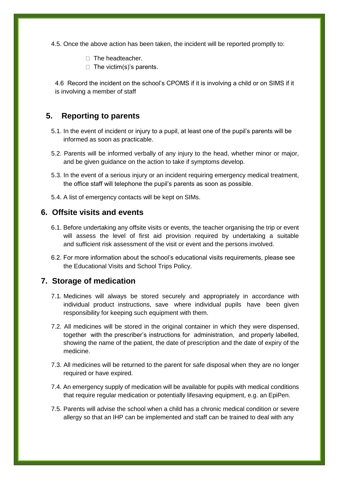- 4.5. Once the above action has been taken, the incident will be reported promptly to:
	- $\Box$  The headteacher.
	- $\Box$  The victim(s)'s parents.

4.6 Record the incident on the school's CPOMS if it is involving a child or on SIMS if it is involving a member of staff

#### **5. Reporting to parents**

- 5.1. In the event of incident or injury to a pupil, at least one of the pupil's parents will be informed as soon as practicable.
- 5.2. Parents will be informed verbally of any injury to the head, whether minor or major, and be given guidance on the action to take if symptoms develop.
- 5.3. In the event of a serious injury or an incident requiring emergency medical treatment, the office staff will telephone the pupil's parents as soon as possible.
- 5.4. A list of emergency contacts will be kept on SIMs.

#### **6. Offsite visits and events**

- 6.1. Before undertaking any offsite visits or events, the teacher organising the trip or event will assess the level of first aid provision required by undertaking a suitable and sufficient risk assessment of the visit or event and the persons involved.
- 6.2. For more information about the school's educational visits requirements, please see the Educational Visits and School Trips Policy.

#### **7. Storage of medication**

- 7.1. Medicines will always be stored securely and appropriately in accordance with individual product instructions, save where individual pupils have been given responsibility for keeping such equipment with them.
- 7.2. All medicines will be stored in the original container in which they were dispensed, together with the prescriber's instructions for administration, and properly labelled, showing the name of the patient, the date of prescription and the date of expiry of the medicine.
- 7.3. All medicines will be returned to the parent for safe disposal when they are no longer required or have expired.
- 7.4. An emergency supply of medication will be available for pupils with medical conditions that require regular medication or potentially lifesaving equipment, e.g. an EpiPen.
- 7.5. Parents will advise the school when a child has a chronic medical condition or severe allergy so that an IHP can be implemented and staff can be trained to deal with any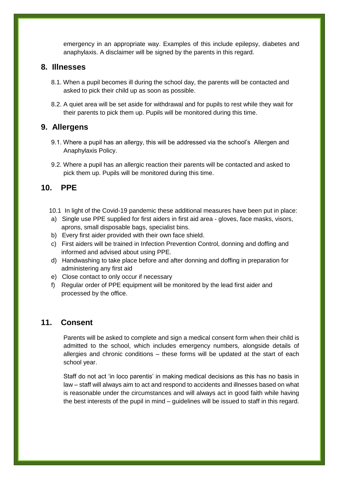emergency in an appropriate way. Examples of this include epilepsy, diabetes and anaphylaxis. A disclaimer will be signed by the parents in this regard.

#### **8. Illnesses**

- 8.1. When a pupil becomes ill during the school day, the parents will be contacted and asked to pick their child up as soon as possible.
- 8.2. A quiet area will be set aside for withdrawal and for pupils to rest while they wait for their parents to pick them up. Pupils will be monitored during this time.

#### **9. Allergens**

- 9.1. Where a pupil has an allergy, this will be addressed via the school's Allergen and Anaphylaxis Policy.
- 9.2. Where a pupil has an allergic reaction their parents will be contacted and asked to pick them up. Pupils will be monitored during this time.

#### **10. PPE**

- 10.1 In light of the Covid-19 pandemic these additional measures have been put in place:
- a) Single use PPE supplied for first aiders in first aid area gloves, face masks, visors, aprons, small disposable bags, specialist bins.
- b) Every first aider provided with their own face shield.
- c) First aiders will be trained in Infection Prevention Control, donning and doffing and informed and advised about using PPE.
- d) Handwashing to take place before and after donning and doffing in preparation for administering any first aid
- e) Close contact to only occur if necessary
- f) Regular order of PPE equipment will be monitored by the lead first aider and processed by the office.

#### **11. Consent**

Parents will be asked to complete and sign a medical consent form when their child is admitted to the school, which includes emergency numbers, alongside details of allergies and chronic conditions – these forms will be updated at the start of each school year.

Staff do not act 'in loco parentis' in making medical decisions as this has no basis in law – staff will always aim to act and respond to accidents and illnesses based on what is reasonable under the circumstances and will always act in good faith while having the best interests of the pupil in mind – guidelines will be issued to staff in this regard.